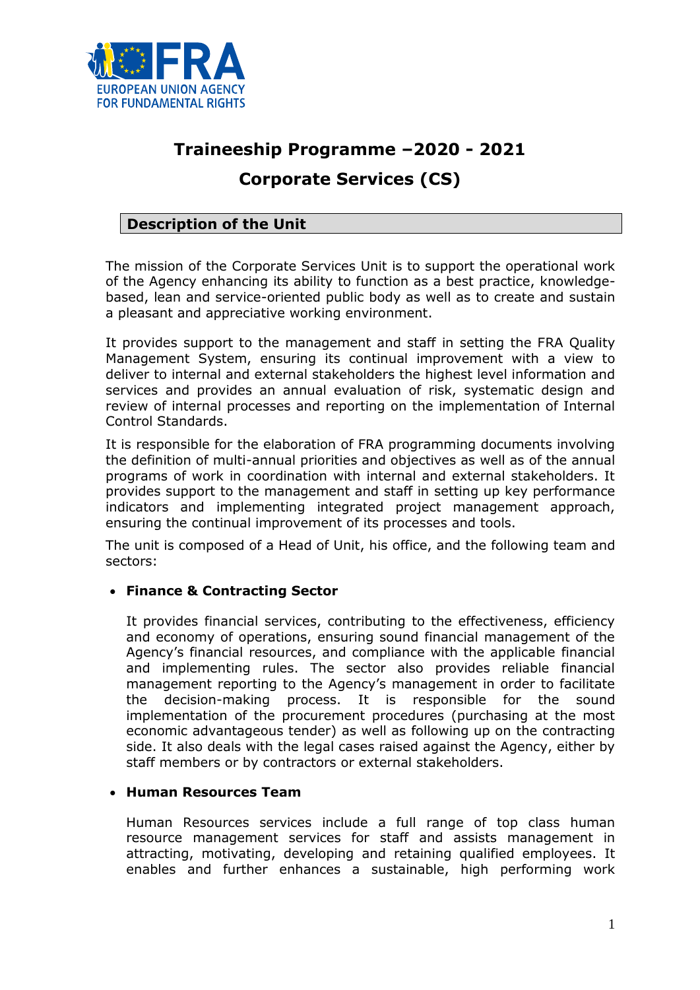

# **Traineeship Programme –2020 - 2021 Corporate Services (CS)**

# **Description of the Unit**

The mission of the Corporate Services Unit is to support the operational work of the Agency enhancing its ability to function as a best practice, knowledgebased, lean and service-oriented public body as well as to create and sustain a pleasant and appreciative working environment.

It provides support to the management and staff in setting the FRA Quality Management System, ensuring its continual improvement with a view to deliver to internal and external stakeholders the highest level information and services and provides an annual evaluation of risk, systematic design and review of internal processes and reporting on the implementation of Internal Control Standards.

It is responsible for the elaboration of FRA programming documents involving the definition of multi-annual priorities and objectives as well as of the annual programs of work in coordination with internal and external stakeholders. It provides support to the management and staff in setting up key performance indicators and implementing integrated project management approach, ensuring the continual improvement of its processes and tools.

The unit is composed of a Head of Unit, his office, and the following team and sectors:

# **Finance & Contracting Sector**

It provides financial services, contributing to the effectiveness, efficiency and economy of operations, ensuring sound financial management of the Agency's financial resources, and compliance with the applicable financial and implementing rules. The sector also provides reliable financial management reporting to the Agency's management in order to facilitate the decision-making process. It is responsible for the sound implementation of the procurement procedures (purchasing at the most economic advantageous tender) as well as following up on the contracting side. It also deals with the legal cases raised against the Agency, either by staff members or by contractors or external stakeholders.

#### **Human Resources Team**

Human Resources services include a full range of top class human resource management services for staff and assists management in attracting, motivating, developing and retaining qualified employees. It enables and further enhances a sustainable, high performing work